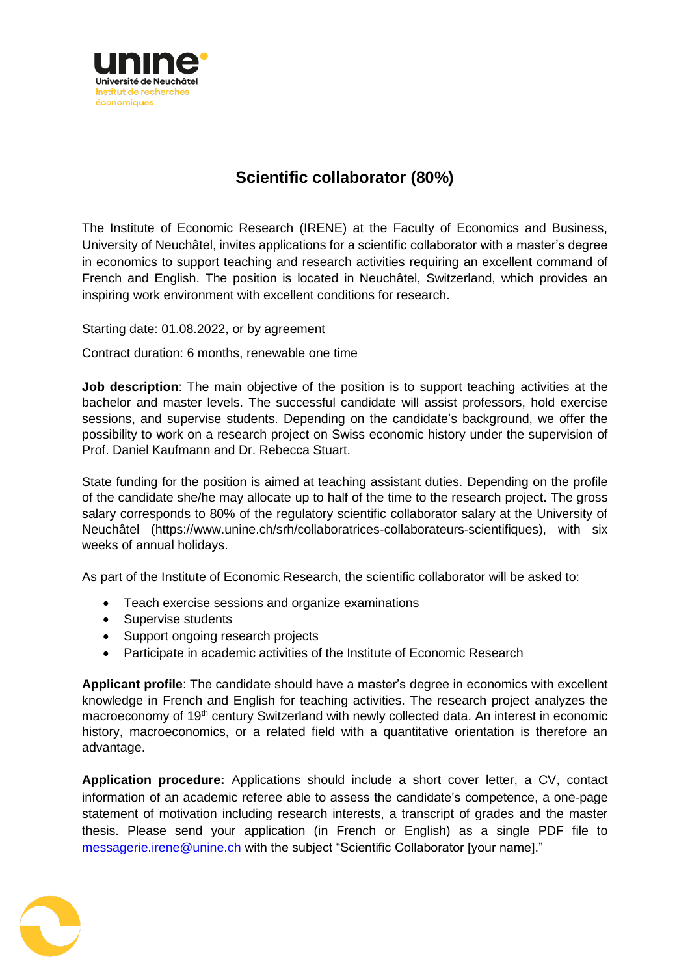

## **Scientific collaborator (80%)**

The Institute of Economic Research (IRENE) at the Faculty of Economics and Business, University of Neuchâtel, invites applications for a scientific collaborator with a master's degree in economics to support teaching and research activities requiring an excellent command of French and English. The position is located in Neuchâtel, Switzerland, which provides an inspiring work environment with excellent conditions for research.

Starting date: 01.08.2022, or by agreement

Contract duration: 6 months, renewable one time

**Job description**: The main objective of the position is to support teaching activities at the bachelor and master levels. The successful candidate will assist professors, hold exercise sessions, and supervise students. Depending on the candidate's background, we offer the possibility to work on a research project on Swiss economic history under the supervision of Prof. Daniel Kaufmann and Dr. Rebecca Stuart.

State funding for the position is aimed at teaching assistant duties. Depending on the profile of the candidate she/he may allocate up to half of the time to the research project. The gross salary corresponds to 80% of the regulatory scientific collaborator salary at the University of Neuchâtel (https://www.unine.ch/srh/collaboratrices-collaborateurs-scientifiques), with six weeks of annual holidays.

As part of the Institute of Economic Research, the scientific collaborator will be asked to:

- Teach exercise sessions and organize examinations
- Supervise students
- Support ongoing research projects
- Participate in academic activities of the Institute of Economic Research

**Applicant profile**: The candidate should have a master's degree in economics with excellent knowledge in French and English for teaching activities. The research project analyzes the macroeconomy of 19<sup>th</sup> century Switzerland with newly collected data. An interest in economic history, macroeconomics, or a related field with a quantitative orientation is therefore an advantage.

**Application procedure:** Applications should include a short cover letter, a CV, contact information of an academic referee able to assess the candidate's competence, a one-page statement of motivation including research interests, a transcript of grades and the master thesis. Please send your application (in French or English) as a single PDF file to [messagerie.irene@unine.ch](mailto:messagerie.irene@unine.ch) with the subject "Scientific Collaborator [your name]."